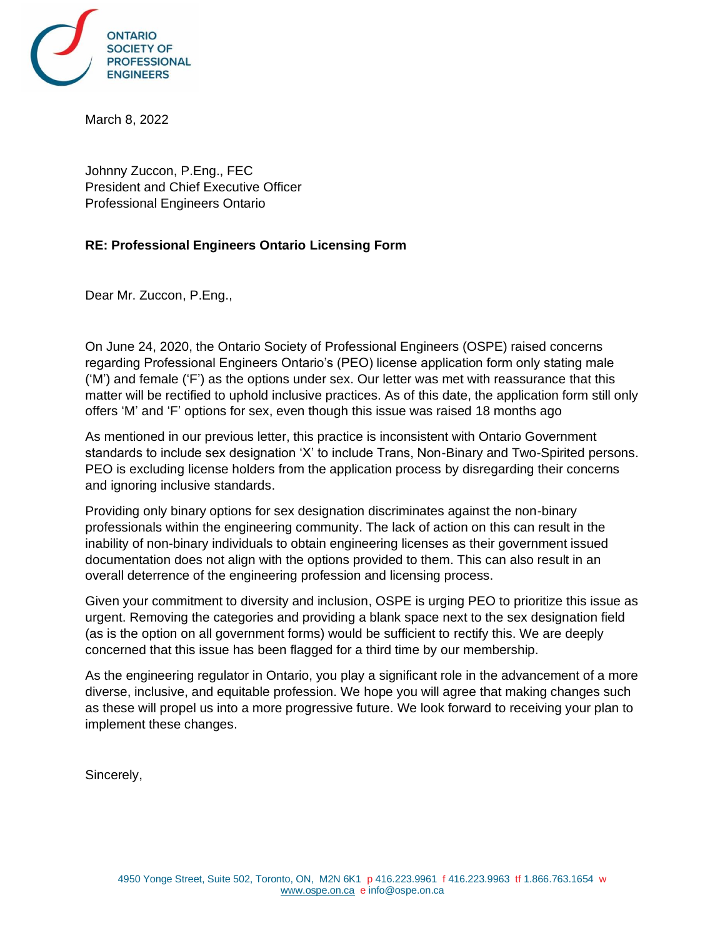

March 8, 2022

Johnny Zuccon, P.Eng., FEC President and Chief Executive Officer Professional Engineers Ontario

## **RE: Professional Engineers Ontario Licensing Form**

Dear Mr. Zuccon, P.Eng.,

On June 24, 2020, the Ontario Society of Professional Engineers (OSPE) raised concerns regarding Professional Engineers Ontario's (PEO) license application form only stating male ('M') and female ('F') as the options under sex. Our letter was met with reassurance that this matter will be rectified to uphold inclusive practices. As of this date, the application form still only offers 'M' and 'F' options for sex, even though this issue was raised 18 months ago

As mentioned in our previous letter, this practice is inconsistent with Ontario Government standards to include sex designation 'X' to include Trans, Non-Binary and Two-Spirited persons. PEO is excluding license holders from the application process by disregarding their concerns and ignoring inclusive standards.

Providing only binary options for sex designation discriminates against the non-binary professionals within the engineering community. The lack of action on this can result in the inability of non-binary individuals to obtain engineering licenses as their government issued documentation does not align with the options provided to them. This can also result in an overall deterrence of the engineering profession and licensing process.

Given your commitment to diversity and inclusion, OSPE is urging PEO to prioritize this issue as urgent. Removing the categories and providing a blank space next to the sex designation field (as is the option on all government forms) would be sufficient to rectify this. We are deeply concerned that this issue has been flagged for a third time by our membership.

As the engineering regulator in Ontario, you play a significant role in the advancement of a more diverse, inclusive, and equitable profession. We hope you will agree that making changes such as these will propel us into a more progressive future. We look forward to receiving your plan to implement these changes.

Sincerely,